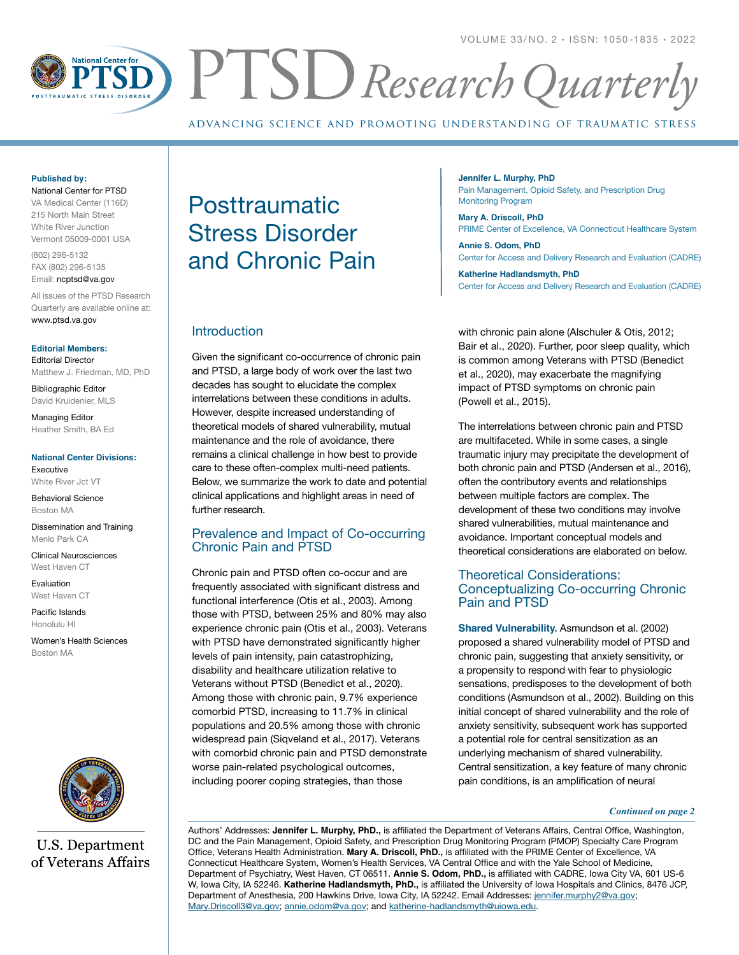

advancing science and promoting understanding of traumatic stress

#### **Published by:**

National Center for PTSD VA Medical Center (116D) 215 North Main Street White River Junction Vermont 05009-0001 USA

(802) 296-5132 FAX (802) 296-5135 Email: ncptsd@va.gov

All issues of the PTSD Research Quarterly are available online at: www.ptsd.va.gov

#### **Editorial Members:**

Editorial Director Matthew J. Friedman, MD, PhD

Bibliographic Editor David Kruidenier, MLS

Managing Editor Heather Smith, BA Ed

#### **National Center Divisions:** Executive

White River Jct VT Behavioral Science

Boston MA

Dissemination and Training Menlo Park CA

Clinical Neurosciences West Haven CT

Evaluation West Haven CT

Pacific Islands Honolulu HI

Women's Health Sciences Boston MA



# **U.S. Department** of Veterans Affairs

# **Posttraumatic** Stress Disorder and Chronic Pain

# Introduction

Given the significant co-occurrence of chronic pain and PTSD, a large body of work over the last two decades has sought to elucidate the complex interrelations between these conditions in adults. However, despite increased understanding of theoretical models of shared vulnerability, mutual maintenance and the role of avoidance, there remains a clinical challenge in how best to provide care to these often-complex multi-need patients. Below, we summarize the work to date and potential clinical applications and highlight areas in need of further research.

## Prevalence and Impact of Co-occurring Chronic Pain and PTSD

Chronic pain and PTSD often co-occur and are frequently associated with significant distress and functional interference (Otis et al., 2003). Among those with PTSD, between 25% and 80% may also experience chronic pain (Otis et al., 2003). Veterans with PTSD have demonstrated significantly higher levels of pain intensity, pain catastrophizing, disability and healthcare utilization relative to Veterans without PTSD (Benedict et al., 2020). Among those with chronic pain, 9.7% experience comorbid PTSD, increasing to 11.7% in clinical populations and 20.5% among those with chronic widespread pain (Siqveland et al., 2017). Veterans with comorbid chronic pain and PTSD demonstrate worse pain-related psychological outcomes, including poorer coping strategies, than those

#### **Jennifer L. Murphy, PhD** Pain Management, Opioid Safety, and Prescription Drug Monitoring Program

**Mary A. Driscoll, PhD** PRIME Center of Excellence, VA Connecticut Healthcare System

**Annie S. Odom, PhD**  Center for Access and Delivery Research and Evaluation (CADRE)

**Katherine Hadlandsmyth, PhD** Center for Access and Delivery Research and Evaluation (CADRE)

with chronic pain alone (Alschuler & Otis, 2012; Bair et al., 2020). Further, poor sleep quality, which is common among Veterans with PTSD (Benedict et al., 2020), may exacerbate the magnifying impact of PTSD symptoms on chronic pain (Powell et al., 2015).

The interrelations between chronic pain and PTSD are multifaceted. While in some cases, a single traumatic injury may precipitate the development of both chronic pain and PTSD (Andersen et al., 2016), often the contributory events and relationships between multiple factors are complex. The development of these two conditions may involve shared vulnerabilities, mutual maintenance and avoidance. Important conceptual models and theoretical considerations are elaborated on below.

# Theoretical Considerations: Conceptualizing Co-occurring Chronic Pain and PTSD

**Shared Vulnerability.** Asmundson et al. (2002) proposed a shared vulnerability model of PTSD and chronic pain, suggesting that anxiety sensitivity, or a propensity to respond with fear to physiologic sensations, predisposes to the development of both conditions (Asmundson et al., 2002). Building on this initial concept of shared vulnerability and the role of anxiety sensitivity, subsequent work has supported a potential role for central sensitization as an underlying mechanism of shared vulnerability. Central sensitization, a key feature of many chronic pain conditions, is an amplification of neural

#### *Continued on page 2*

Authors' Addresses: **Jennifer L. Murphy, PhD.,** is affiliated the Department of Veterans Affairs, Central Office, Washington, DC and the Pain Management, Opioid Safety, and Prescription Drug Monitoring Program (PMOP) Specialty Care Program Office, Veterans Health Administration. **Mary A. Driscoll, PhD.,** is affiliated with the PRIME Center of Excellence, VA Connecticut Healthcare System, Women's Health Services, VA Central Office and with the Yale School of Medicine, Department of Psychiatry, West Haven, CT 06511. **Annie S. Odom, PhD.,** is affiliated with CADRE, Iowa City VA, 601 US-6 W, Iowa City, IA 52246. **Katherine Hadlandsmyth, PhD.,** is affiliated the University of Iowa Hospitals and Clinics, 8476 JCP, Department of Anesthesia, 200 Hawkins Drive, Iowa City, IA 52242. Email Addresses: jennifer.murphy2@va.gov; Mary.Driscoll3@va.gov; annie.odom@va.gov; and katherine-hadlandsmyth@uiowa.edu.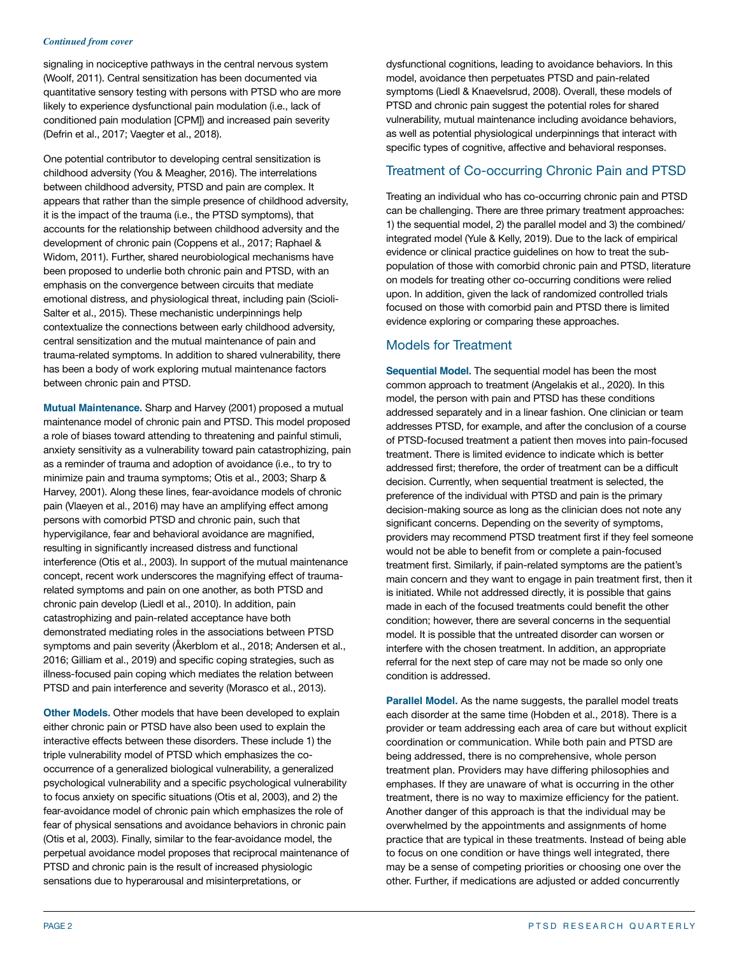#### *Continued from cover*

signaling in nociceptive pathways in the central nervous system (Woolf, 2011). Central sensitization has been documented via quantitative sensory testing with persons with PTSD who are more likely to experience dysfunctional pain modulation (i.e., lack of conditioned pain modulation [CPM]) and increased pain severity (Defrin et al., 2017; Vaegter et al., 2018).

One potential contributor to developing central sensitization is childhood adversity (You & Meagher, 2016). The interrelations between childhood adversity, PTSD and pain are complex. It appears that rather than the simple presence of childhood adversity, it is the impact of the trauma (i.e., the PTSD symptoms), that accounts for the relationship between childhood adversity and the development of chronic pain (Coppens et al., 2017; Raphael & Widom, 2011). Further, shared neurobiological mechanisms have been proposed to underlie both chronic pain and PTSD, with an emphasis on the convergence between circuits that mediate emotional distress, and physiological threat, including pain (Scioli-Salter et al., 2015). These mechanistic underpinnings help contextualize the connections between early childhood adversity, central sensitization and the mutual maintenance of pain and trauma-related symptoms. In addition to shared vulnerability, there has been a body of work exploring mutual maintenance factors between chronic pain and PTSD.

**Mutual Maintenance.** Sharp and Harvey (2001) proposed a mutual maintenance model of chronic pain and PTSD. This model proposed a role of biases toward attending to threatening and painful stimuli, anxiety sensitivity as a vulnerability toward pain catastrophizing, pain as a reminder of trauma and adoption of avoidance (i.e., to try to minimize pain and trauma symptoms; Otis et al., 2003; Sharp & Harvey, 2001). Along these lines, fear-avoidance models of chronic pain (Vlaeyen et al., 2016) may have an amplifying effect among persons with comorbid PTSD and chronic pain, such that hypervigilance, fear and behavioral avoidance are magnified, resulting in significantly increased distress and functional interference (Otis et al., 2003). In support of the mutual maintenance concept, recent work underscores the magnifying effect of traumarelated symptoms and pain on one another, as both PTSD and chronic pain develop (Liedl et al., 2010). In addition, pain catastrophizing and pain-related acceptance have both demonstrated mediating roles in the associations between PTSD symptoms and pain severity (Åkerblom et al., 2018; Andersen et al., 2016; Gilliam et al., 2019) and specific coping strategies, such as illness-focused pain coping which mediates the relation between PTSD and pain interference and severity (Morasco et al., 2013).

**Other Models.** Other models that have been developed to explain either chronic pain or PTSD have also been used to explain the interactive effects between these disorders. These include 1) the triple vulnerability model of PTSD which emphasizes the cooccurrence of a generalized biological vulnerability, a generalized psychological vulnerability and a specific psychological vulnerability to focus anxiety on specific situations (Otis et al, 2003), and 2) the fear-avoidance model of chronic pain which emphasizes the role of fear of physical sensations and avoidance behaviors in chronic pain (Otis et al, 2003). Finally, similar to the fear-avoidance model, the perpetual avoidance model proposes that reciprocal maintenance of PTSD and chronic pain is the result of increased physiologic sensations due to hyperarousal and misinterpretations, or

dysfunctional cognitions, leading to avoidance behaviors. In this model, avoidance then perpetuates PTSD and pain-related symptoms (Liedl & Knaevelsrud, 2008). Overall, these models of PTSD and chronic pain suggest the potential roles for shared vulnerability, mutual maintenance including avoidance behaviors, as well as potential physiological underpinnings that interact with specific types of cognitive, affective and behavioral responses.

# Treatment of Co-occurring Chronic Pain and PTSD

Treating an individual who has co-occurring chronic pain and PTSD can be challenging. There are three primary treatment approaches: 1) the sequential model, 2) the parallel model and 3) the combined/ integrated model (Yule & Kelly, 2019). Due to the lack of empirical evidence or clinical practice guidelines on how to treat the subpopulation of those with comorbid chronic pain and PTSD, literature on models for treating other co-occurring conditions were relied upon. In addition, given the lack of randomized controlled trials focused on those with comorbid pain and PTSD there is limited evidence exploring or comparing these approaches.

# Models for Treatment

**Sequential Model.** The sequential model has been the most common approach to treatment (Angelakis et al., 2020). In this model, the person with pain and PTSD has these conditions addressed separately and in a linear fashion. One clinician or team addresses PTSD, for example, and after the conclusion of a course of PTSD-focused treatment a patient then moves into pain-focused treatment. There is limited evidence to indicate which is better addressed first; therefore, the order of treatment can be a difficult decision. Currently, when sequential treatment is selected, the preference of the individual with PTSD and pain is the primary decision-making source as long as the clinician does not note any significant concerns. Depending on the severity of symptoms, providers may recommend PTSD treatment first if they feel someone would not be able to benefit from or complete a pain-focused treatment first. Similarly, if pain-related symptoms are the patient's main concern and they want to engage in pain treatment first, then it is initiated. While not addressed directly, it is possible that gains made in each of the focused treatments could benefit the other condition; however, there are several concerns in the sequential model. It is possible that the untreated disorder can worsen or interfere with the chosen treatment. In addition, an appropriate referral for the next step of care may not be made so only one condition is addressed.

**Parallel Model.** As the name suggests, the parallel model treats each disorder at the same time (Hobden et al., 2018). There is a provider or team addressing each area of care but without explicit coordination or communication. While both pain and PTSD are being addressed, there is no comprehensive, whole person treatment plan. Providers may have differing philosophies and emphases. If they are unaware of what is occurring in the other treatment, there is no way to maximize efficiency for the patient. Another danger of this approach is that the individual may be overwhelmed by the appointments and assignments of home practice that are typical in these treatments. Instead of being able to focus on one condition or have things well integrated, there may be a sense of competing priorities or choosing one over the other. Further, if medications are adjusted or added concurrently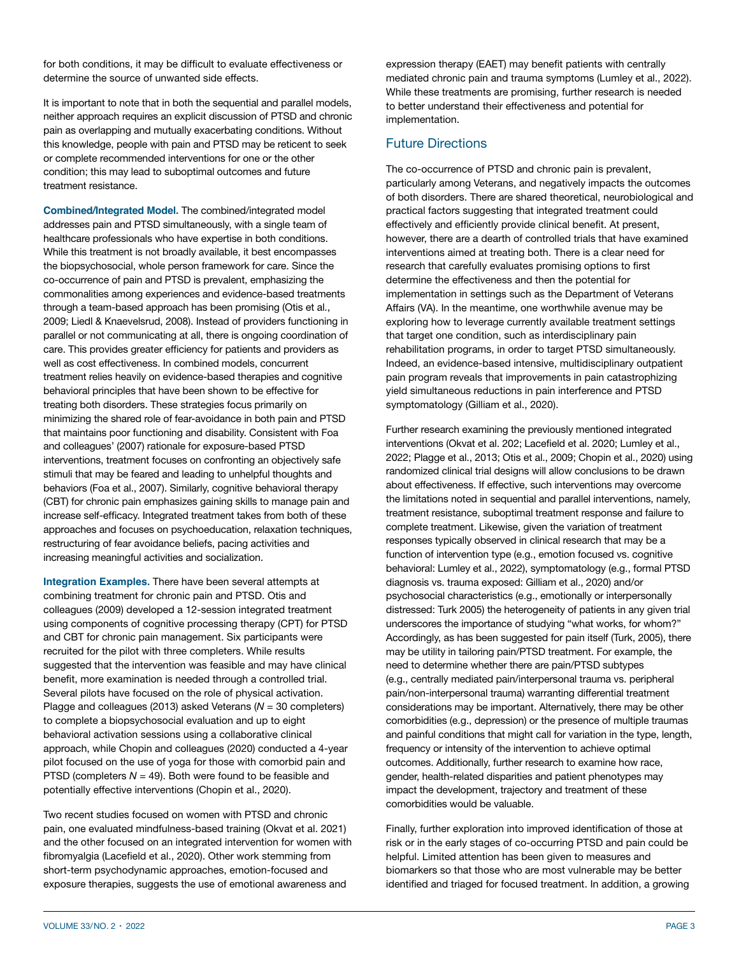for both conditions, it may be difficult to evaluate effectiveness or determine the source of unwanted side effects.

It is important to note that in both the sequential and parallel models, neither approach requires an explicit discussion of PTSD and chronic pain as overlapping and mutually exacerbating conditions. Without this knowledge, people with pain and PTSD may be reticent to seek or complete recommended interventions for one or the other condition; this may lead to suboptimal outcomes and future treatment resistance.

**Combined/Integrated Model.** The combined/integrated model addresses pain and PTSD simultaneously, with a single team of healthcare professionals who have expertise in both conditions. While this treatment is not broadly available, it best encompasses the biopsychosocial, whole person framework for care. Since the co-occurrence of pain and PTSD is prevalent, emphasizing the commonalities among experiences and evidence-based treatments through a team-based approach has been promising (Otis et al., 2009; Liedl & Knaevelsrud, 2008). Instead of providers functioning in parallel or not communicating at all, there is ongoing coordination of care. This provides greater efficiency for patients and providers as well as cost effectiveness. In combined models, concurrent treatment relies heavily on evidence-based therapies and cognitive behavioral principles that have been shown to be effective for treating both disorders. These strategies focus primarily on minimizing the shared role of fear-avoidance in both pain and PTSD that maintains poor functioning and disability. Consistent with Foa and colleagues' (2007) rationale for exposure-based PTSD interventions, treatment focuses on confronting an objectively safe stimuli that may be feared and leading to unhelpful thoughts and behaviors (Foa et al., 2007). Similarly, cognitive behavioral therapy (CBT) for chronic pain emphasizes gaining skills to manage pain and increase self-efficacy. Integrated treatment takes from both of these approaches and focuses on psychoeducation, relaxation techniques, restructuring of fear avoidance beliefs, pacing activities and increasing meaningful activities and socialization.

**Integration Examples.** There have been several attempts at combining treatment for chronic pain and PTSD. Otis and colleagues (2009) developed a 12-session integrated treatment using components of cognitive processing therapy (CPT) for PTSD and CBT for chronic pain management. Six participants were recruited for the pilot with three completers. While results suggested that the intervention was feasible and may have clinical benefit, more examination is needed through a controlled trial. Several pilots have focused on the role of physical activation. Plagge and colleagues (2013) asked Veterans (*N* = 30 completers) to complete a biopsychosocial evaluation and up to eight behavioral activation sessions using a collaborative clinical approach, while Chopin and colleagues (2020) conducted a 4-year pilot focused on the use of yoga for those with comorbid pain and PTSD (completers *N* = 49). Both were found to be feasible and potentially effective interventions (Chopin et al., 2020).

Two recent studies focused on women with PTSD and chronic pain, one evaluated mindfulness-based training (Okvat et al. 2021) and the other focused on an integrated intervention for women with fibromyalgia (Lacefield et al., 2020). Other work stemming from short-term psychodynamic approaches, emotion-focused and exposure therapies, suggests the use of emotional awareness and

expression therapy (EAET) may benefit patients with centrally mediated chronic pain and trauma symptoms (Lumley et al., 2022). While these treatments are promising, further research is needed to better understand their effectiveness and potential for implementation.

# Future Directions

The co-occurrence of PTSD and chronic pain is prevalent, particularly among Veterans, and negatively impacts the outcomes of both disorders. There are shared theoretical, neurobiological and practical factors suggesting that integrated treatment could effectively and efficiently provide clinical benefit. At present, however, there are a dearth of controlled trials that have examined interventions aimed at treating both. There is a clear need for research that carefully evaluates promising options to first determine the effectiveness and then the potential for implementation in settings such as the Department of Veterans Affairs (VA). In the meantime, one worthwhile avenue may be exploring how to leverage currently available treatment settings that target one condition, such as interdisciplinary pain rehabilitation programs, in order to target PTSD simultaneously. Indeed, an evidence-based intensive, multidisciplinary outpatient pain program reveals that improvements in pain catastrophizing yield simultaneous reductions in pain interference and PTSD symptomatology (Gilliam et al., 2020).

Further research examining the previously mentioned integrated interventions (Okvat et al. 202; Lacefield et al. 2020; Lumley et al., 2022; Plagge et al., 2013; Otis et al., 2009; Chopin et al., 2020) using randomized clinical trial designs will allow conclusions to be drawn about effectiveness. If effective, such interventions may overcome the limitations noted in sequential and parallel interventions, namely, treatment resistance, suboptimal treatment response and failure to complete treatment. Likewise, given the variation of treatment responses typically observed in clinical research that may be a function of intervention type (e.g., emotion focused vs. cognitive behavioral: Lumley et al., 2022), symptomatology (e.g., formal PTSD diagnosis vs. trauma exposed: Gilliam et al., 2020) and/or psychosocial characteristics (e.g., emotionally or interpersonally distressed: Turk 2005) the heterogeneity of patients in any given trial underscores the importance of studying "what works, for whom?" Accordingly, as has been suggested for pain itself (Turk, 2005), there may be utility in tailoring pain/PTSD treatment. For example, the need to determine whether there are pain/PTSD subtypes (e.g., centrally mediated pain/interpersonal trauma vs. peripheral pain/non-interpersonal trauma) warranting differential treatment considerations may be important. Alternatively, there may be other comorbidities (e.g., depression) or the presence of multiple traumas and painful conditions that might call for variation in the type, length, frequency or intensity of the intervention to achieve optimal outcomes. Additionally, further research to examine how race, gender, health-related disparities and patient phenotypes may impact the development, trajectory and treatment of these comorbidities would be valuable.

Finally, further exploration into improved identification of those at risk or in the early stages of co-occurring PTSD and pain could be helpful. Limited attention has been given to measures and biomarkers so that those who are most vulnerable may be better identified and triaged for focused treatment. In addition, a growing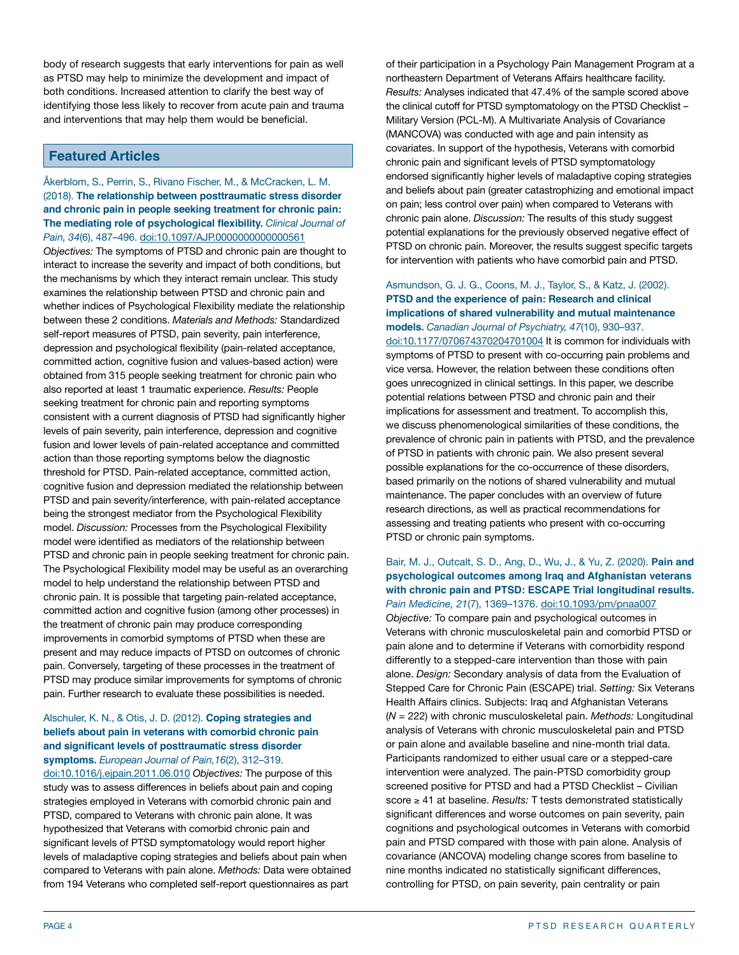body of research suggests that early interventions for pain as well as PTSD may help to minimize the development and impact of both conditions. Increased attention to clarify the best way of identifying those less likely to recover from acute pain and trauma and interventions that may help them would be beneficial.

# **Featured Articles**

Åkerblom, S., Perrin, S., Rivano Fischer, M., & McCracken, L. M. (2018). **The relationship between posttraumatic stress disorder and chronic pain in people seeking treatment for chronic pain: The mediating role of psychological flexibility.** *Clinical Journal of Pain, 34*(6), 487–496. doi:10.1097/AJP.0000000000000561 *Objectives:* The symptoms of PTSD and chronic pain are thought to interact to increase the severity and impact of both conditions, but the mechanisms by which they interact remain unclear. This study examines the relationship between PTSD and chronic pain and whether indices of Psychological Flexibility mediate the relationship between these 2 conditions. *Materials and Methods:* Standardized self-report measures of PTSD, pain severity, pain interference, depression and psychological flexibility (pain-related acceptance, committed action, cognitive fusion and values-based action) were obtained from 315 people seeking treatment for chronic pain who also reported at least 1 traumatic experience. *Results:* People seeking treatment for chronic pain and reporting symptoms consistent with a current diagnosis of PTSD had significantly higher levels of pain severity, pain interference, depression and cognitive fusion and lower levels of pain-related acceptance and committed action than those reporting symptoms below the diagnostic threshold for PTSD. Pain-related acceptance, committed action, cognitive fusion and depression mediated the relationship between PTSD and pain severity/interference, with pain-related acceptance being the strongest mediator from the Psychological Flexibility model. *Discussion:* Processes from the Psychological Flexibility model were identified as mediators of the relationship between PTSD and chronic pain in people seeking treatment for chronic pain. The Psychological Flexibility model may be useful as an overarching model to help understand the relationship between PTSD and chronic pain. It is possible that targeting pain-related acceptance, committed action and cognitive fusion (among other processes) in the treatment of chronic pain may produce corresponding improvements in comorbid symptoms of PTSD when these are present and may reduce impacts of PTSD on outcomes of chronic pain. Conversely, targeting of these processes in the treatment of PTSD may produce similar improvements for symptoms of chronic pain. Further research to evaluate these possibilities is needed.

## Alschuler, K. N., & Otis, J. D. (2012). **Coping strategies and beliefs about pain in veterans with comorbid chronic pain and significant levels of posttraumatic stress disorder symptoms.** *European Journal of Pain,16*(2), 312–319.

doi:10.1016/j.ejpain.2011.06.010 *Objectives:* The purpose of this study was to assess differences in beliefs about pain and coping strategies employed in Veterans with comorbid chronic pain and PTSD, compared to Veterans with chronic pain alone. It was hypothesized that Veterans with comorbid chronic pain and significant levels of PTSD symptomatology would report higher levels of maladaptive coping strategies and beliefs about pain when compared to Veterans with pain alone. *Methods:* Data were obtained from 194 Veterans who completed self-report questionnaires as part

of their participation in a Psychology Pain Management Program at a northeastern Department of Veterans Affairs healthcare facility. *Results:* Analyses indicated that 47.4% of the sample scored above the clinical cutoff for PTSD symptomatology on the PTSD Checklist – Military Version (PCL-M). A Multivariate Analysis of Covariance (MANCOVA) was conducted with age and pain intensity as covariates. In support of the hypothesis, Veterans with comorbid chronic pain and significant levels of PTSD symptomatology endorsed significantly higher levels of maladaptive coping strategies and beliefs about pain (greater catastrophizing and emotional impact on pain; less control over pain) when compared to Veterans with chronic pain alone. *Discussion:* The results of this study suggest potential explanations for the previously observed negative effect of PTSD on chronic pain. Moreover, the results suggest specific targets for intervention with patients who have comorbid pain and PTSD.

Asmundson, G. J. G., Coons, M. J., Taylor, S., & Katz, J. (2002). **PTSD and the experience of pain: Research and clinical implications of shared vulnerability and mutual maintenance models.** *Canadian Journal of Psychiatry, 47*(10), 930–937. doi:10.1177/070674370204701004 It is common for individuals with symptoms of PTSD to present with co-occurring pain problems and vice versa. However, the relation between these conditions often goes unrecognized in clinical settings. In this paper, we describe potential relations between PTSD and chronic pain and their implications for assessment and treatment. To accomplish this, we discuss phenomenological similarities of these conditions, the prevalence of chronic pain in patients with PTSD, and the prevalence of PTSD in patients with chronic pain. We also present several possible explanations for the co-occurrence of these disorders, based primarily on the notions of shared vulnerability and mutual maintenance. The paper concludes with an overview of future research directions, as well as practical recommendations for assessing and treating patients who present with co-occurring PTSD or chronic pain symptoms.

# Bair, M. J., Outcalt, S. D., Ang, D., Wu, J., & Yu, Z. (2020). **Pain and psychological outcomes among Iraq and Afghanistan veterans with chronic pain and PTSD: ESCAPE Trial longitudinal results.**  *Pain Medicine, 21*(7), 1369–1376. doi:10.1093/pm/pnaa007

*Objective:* To compare pain and psychological outcomes in Veterans with chronic musculoskeletal pain and comorbid PTSD or pain alone and to determine if Veterans with comorbidity respond differently to a stepped-care intervention than those with pain alone. *Design:* Secondary analysis of data from the Evaluation of Stepped Care for Chronic Pain (ESCAPE) trial. *Setting:* Six Veterans Health Affairs clinics. Subjects: Iraq and Afghanistan Veterans (*N* = 222) with chronic musculoskeletal pain. *Methods:* Longitudinal analysis of Veterans with chronic musculoskeletal pain and PTSD or pain alone and available baseline and nine-month trial data. Participants randomized to either usual care or a stepped-care intervention were analyzed. The pain-PTSD comorbidity group screened positive for PTSD and had a PTSD Checklist – Civilian score ≥ 41 at baseline. *Results:* T tests demonstrated statistically significant differences and worse outcomes on pain severity, pain cognitions and psychological outcomes in Veterans with comorbid pain and PTSD compared with those with pain alone. Analysis of covariance (ANCOVA) modeling change scores from baseline to nine months indicated no statistically significant differences, controlling for PTSD, on pain severity, pain centrality or pain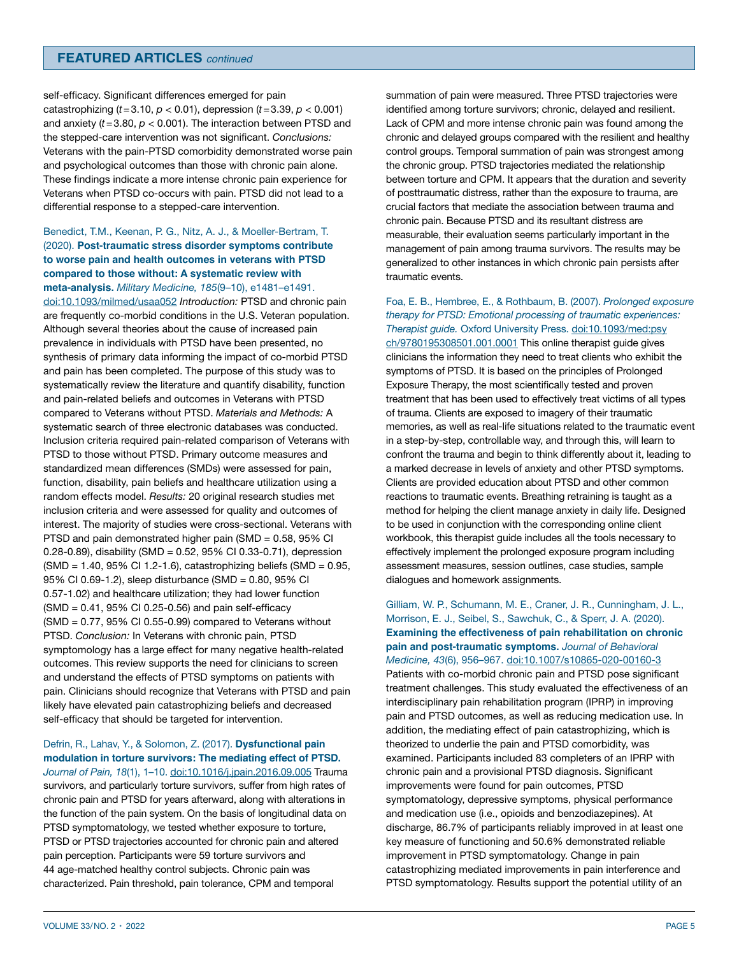self-efficacy. Significant differences emerged for pain catastrophizing (*t*=3.10, *p* < 0.01), depression (*t*=3.39, *p* < 0.001) and anxiety (*t*=3.80, *p* < 0.001). The interaction between PTSD and the stepped-care intervention was not significant. *Conclusions:*  Veterans with the pain-PTSD comorbidity demonstrated worse pain and psychological outcomes than those with chronic pain alone. These findings indicate a more intense chronic pain experience for Veterans when PTSD co-occurs with pain. PTSD did not lead to a differential response to a stepped-care intervention.

Benedict, T.M., Keenan, P. G., Nitz, A. J., & Moeller-Bertram, T. (2020). **Post-traumatic stress disorder symptoms contribute to worse pain and health outcomes in veterans with PTSD compared to those without: A systematic review with meta-analysis.** *Military Medicine, 185*(9–10), e1481–e1491. doi:10.1093/milmed/usaa052 *Introduction:* PTSD and chronic pain are frequently co-morbid conditions in the U.S. Veteran population. Although several theories about the cause of increased pain prevalence in individuals with PTSD have been presented, no synthesis of primary data informing the impact of co-morbid PTSD and pain has been completed. The purpose of this study was to systematically review the literature and quantify disability, function and pain-related beliefs and outcomes in Veterans with PTSD compared to Veterans without PTSD. *Materials and Methods:* A systematic search of three electronic databases was conducted. Inclusion criteria required pain-related comparison of Veterans with PTSD to those without PTSD. Primary outcome measures and standardized mean differences (SMDs) were assessed for pain, function, disability, pain beliefs and healthcare utilization using a random effects model. *Results:* 20 original research studies met inclusion criteria and were assessed for quality and outcomes of interest. The majority of studies were cross-sectional. Veterans with PTSD and pain demonstrated higher pain (SMD = 0.58, 95% CI 0.28-0.89), disability (SMD = 0.52, 95% CI 0.33-0.71), depression  $(SMD = 1.40, 95\% \text{ CI } 1.2 - 1.6)$ , catastrophizing beliefs  $(SMD = 0.95, 0.95)$ 95% CI 0.69-1.2), sleep disturbance (SMD = 0.80, 95% CI 0.57-1.02) and healthcare utilization; they had lower function (SMD = 0.41, 95% CI 0.25-0.56) and pain self-efficacy  $(SMD = 0.77, 95\% \text{ CI } 0.55 - 0.99)$  compared to Veterans without PTSD. *Conclusion:* In Veterans with chronic pain, PTSD symptomology has a large effect for many negative health-related outcomes. This review supports the need for clinicians to screen and understand the effects of PTSD symptoms on patients with pain. Clinicians should recognize that Veterans with PTSD and pain likely have elevated pain catastrophizing beliefs and decreased self-efficacy that should be targeted for intervention.

# Defrin, R., Lahav, Y., & Solomon, Z. (2017). **Dysfunctional pain modulation in torture survivors: The mediating effect of PTSD.**

*Journal of Pain, 18*(1), 1–10. doi:10.1016/j.jpain.2016.09.005 Trauma survivors, and particularly torture survivors, suffer from high rates of chronic pain and PTSD for years afterward, along with alterations in the function of the pain system. On the basis of longitudinal data on PTSD symptomatology, we tested whether exposure to torture, PTSD or PTSD trajectories accounted for chronic pain and altered pain perception. Participants were 59 torture survivors and 44 age-matched healthy control subjects. Chronic pain was characterized. Pain threshold, pain tolerance, CPM and temporal

summation of pain were measured. Three PTSD trajectories were identified among torture survivors; chronic, delayed and resilient. Lack of CPM and more intense chronic pain was found among the chronic and delayed groups compared with the resilient and healthy control groups. Temporal summation of pain was strongest among the chronic group. PTSD trajectories mediated the relationship between torture and CPM. It appears that the duration and severity of posttraumatic distress, rather than the exposure to trauma, are crucial factors that mediate the association between trauma and chronic pain. Because PTSD and its resultant distress are measurable, their evaluation seems particularly important in the management of pain among trauma survivors. The results may be generalized to other instances in which chronic pain persists after traumatic events.

Foa, E. B., Hembree, E., & Rothbaum, B. (2007). *Prolonged exposure therapy for PTSD: Emotional processing of traumatic experiences: Therapist guide.* Oxford University Press. doi:10.1093/med:psy ch/9780195308501.001.0001 This online therapist guide gives clinicians the information they need to treat clients who exhibit the symptoms of PTSD. It is based on the principles of Prolonged Exposure Therapy, the most scientifically tested and proven treatment that has been used to effectively treat victims of all types of trauma. Clients are exposed to imagery of their traumatic memories, as well as real-life situations related to the traumatic event in a step-by-step, controllable way, and through this, will learn to confront the trauma and begin to think differently about it, leading to a marked decrease in levels of anxiety and other PTSD symptoms. Clients are provided education about PTSD and other common reactions to traumatic events. Breathing retraining is taught as a method for helping the client manage anxiety in daily life. Designed to be used in conjunction with the corresponding online client workbook, this therapist guide includes all the tools necessary to effectively implement the prolonged exposure program including assessment measures, session outlines, case studies, sample dialogues and homework assignments.

Gilliam, W. P., Schumann, M. E., Craner, J. R., Cunningham, J. L., Morrison, E. J., Seibel, S., Sawchuk, C., & Sperr, J. A. (2020). **Examining the effectiveness of pain rehabilitation on chronic pain and post-traumatic symptoms.** *Journal of Behavioral Medicine, 43*(6), 956–967. doi:10.1007/s10865-020-00160-3 Patients with co-morbid chronic pain and PTSD pose significant treatment challenges. This study evaluated the effectiveness of an interdisciplinary pain rehabilitation program (IPRP) in improving pain and PTSD outcomes, as well as reducing medication use. In addition, the mediating effect of pain catastrophizing, which is theorized to underlie the pain and PTSD comorbidity, was examined. Participants included 83 completers of an IPRP with chronic pain and a provisional PTSD diagnosis. Significant improvements were found for pain outcomes, PTSD symptomatology, depressive symptoms, physical performance and medication use (i.e., opioids and benzodiazepines). At discharge, 86.7% of participants reliably improved in at least one key measure of functioning and 50.6% demonstrated reliable improvement in PTSD symptomatology. Change in pain catastrophizing mediated improvements in pain interference and PTSD symptomatology. Results support the potential utility of an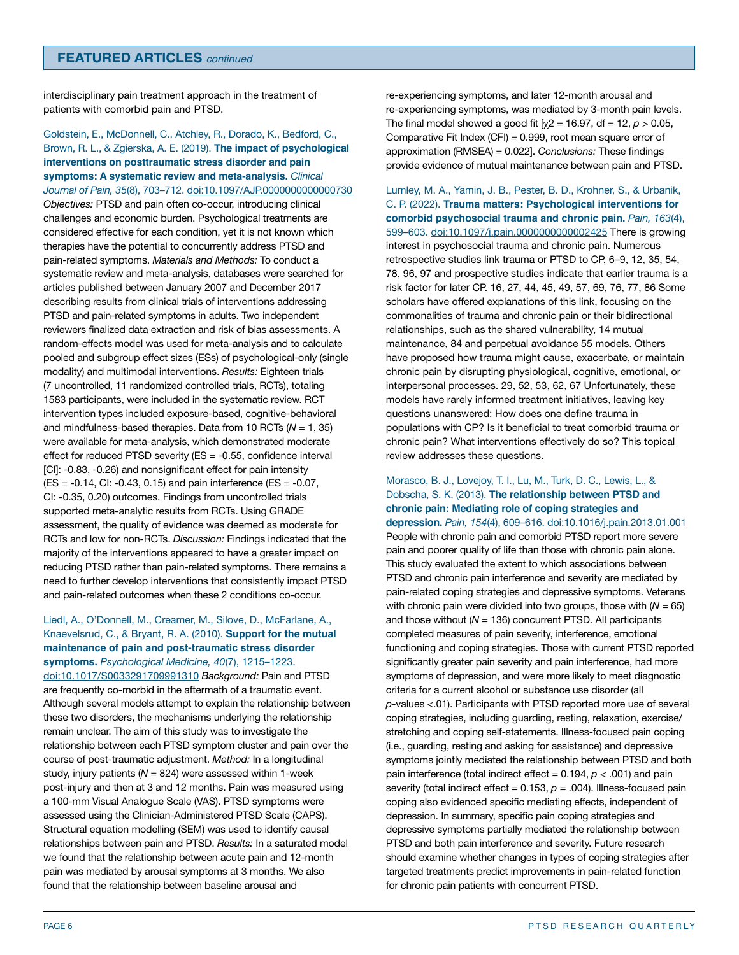# **FEATURED ARTICLES** *continued*

interdisciplinary pain treatment approach in the treatment of patients with comorbid pain and PTSD.

Goldstein, E., McDonnell, C., Atchley, R., Dorado, K., Bedford, C., Brown, R. L., & Zgierska, A. E. (2019). **The impact of psychological interventions on posttraumatic stress disorder and pain symptoms: A systematic review and meta-analysis.** *Clinical Journal of Pain, 35*(8), 703–712. doi:10.1097/AJP.0000000000000730 *Objectives:* PTSD and pain often co-occur, introducing clinical challenges and economic burden. Psychological treatments are considered effective for each condition, yet it is not known which therapies have the potential to concurrently address PTSD and pain-related symptoms. *Materials and Methods:* To conduct a systematic review and meta-analysis, databases were searched for articles published between January 2007 and December 2017 describing results from clinical trials of interventions addressing PTSD and pain-related symptoms in adults. Two independent reviewers finalized data extraction and risk of bias assessments. A random-effects model was used for meta-analysis and to calculate pooled and subgroup effect sizes (ESs) of psychological-only (single modality) and multimodal interventions. *Results:* Eighteen trials (7 uncontrolled, 11 randomized controlled trials, RCTs), totaling 1583 participants, were included in the systematic review. RCT intervention types included exposure-based, cognitive-behavioral and mindfulness-based therapies. Data from 10 RCTs (*N* = 1, 35) were available for meta-analysis, which demonstrated moderate effect for reduced PTSD severity (ES = -0.55, confidence interval [CI]: -0.83, -0.26) and nonsignificant effect for pain intensity (ES = -0.14, CI: -0.43, 0.15) and pain interference (ES = -0.07, CI: -0.35, 0.20) outcomes. Findings from uncontrolled trials supported meta-analytic results from RCTs. Using GRADE assessment, the quality of evidence was deemed as moderate for RCTs and low for non-RCTs. *Discussion:* Findings indicated that the majority of the interventions appeared to have a greater impact on reducing PTSD rather than pain-related symptoms. There remains a need to further develop interventions that consistently impact PTSD and pain-related outcomes when these 2 conditions co-occur.

## Liedl, A., O'Donnell, M., Creamer, M., Silove, D., McFarlane, A., Knaevelsrud, C., & Bryant, R. A. (2010). **Support for the mutual maintenance of pain and post-traumatic stress disorder symptoms.** *Psychological Medicine, 40*(7), 1215–1223.

doi:10.1017/S0033291709991310 *Background:* Pain and PTSD are frequently co-morbid in the aftermath of a traumatic event. Although several models attempt to explain the relationship between these two disorders, the mechanisms underlying the relationship remain unclear. The aim of this study was to investigate the relationship between each PTSD symptom cluster and pain over the course of post-traumatic adjustment. *Method:* In a longitudinal study, injury patients (*N* = 824) were assessed within 1-week post-injury and then at 3 and 12 months. Pain was measured using a 100-mm Visual Analogue Scale (VAS). PTSD symptoms were assessed using the Clinician-Administered PTSD Scale (CAPS). Structural equation modelling (SEM) was used to identify causal relationships between pain and PTSD. *Results:* In a saturated model we found that the relationship between acute pain and 12-month pain was mediated by arousal symptoms at 3 months. We also found that the relationship between baseline arousal and

re-experiencing symptoms, and later 12-month arousal and re-experiencing symptoms, was mediated by 3-month pain levels. The final model showed a good fit  $[\gamma 2 = 16.97, df = 12, p > 0.05,$ Comparative Fit Index (CFI) = 0.999, root mean square error of approximation (RMSEA) = 0.022]. *Conclusions:* These findings provide evidence of mutual maintenance between pain and PTSD.

Lumley, M. A., Yamin, J. B., Pester, B. D., Krohner, S., & Urbanik, C. P. (2022). **Trauma matters: Psychological interventions for comorbid psychosocial trauma and chronic pain.** *Pain, 163*(4), 599–603. doi:10.1097/j.pain.0000000000002425 There is growing interest in psychosocial trauma and chronic pain. Numerous retrospective studies link trauma or PTSD to CP, 6–9, 12, 35, 54, 78, 96, 97 and prospective studies indicate that earlier trauma is a risk factor for later CP. 16, 27, 44, 45, 49, 57, 69, 76, 77, 86 Some scholars have offered explanations of this link, focusing on the commonalities of trauma and chronic pain or their bidirectional relationships, such as the shared vulnerability, 14 mutual maintenance, 84 and perpetual avoidance 55 models. Others have proposed how trauma might cause, exacerbate, or maintain chronic pain by disrupting physiological, cognitive, emotional, or interpersonal processes. 29, 52, 53, 62, 67 Unfortunately, these models have rarely informed treatment initiatives, leaving key questions unanswered: How does one define trauma in populations with CP? Is it beneficial to treat comorbid trauma or chronic pain? What interventions effectively do so? This topical review addresses these questions.

#### Morasco, B. J., Lovejoy, T. I., Lu, M., Turk, D. C., Lewis, L., & Dobscha, S. K. (2013). **The relationship between PTSD and chronic pain: Mediating role of coping strategies and depression.** *Pain, 154*(4), 609–616. doi:10.1016/j.pain.2013.01.001

People with chronic pain and comorbid PTSD report more severe pain and poorer quality of life than those with chronic pain alone. This study evaluated the extent to which associations between PTSD and chronic pain interference and severity are mediated by pain-related coping strategies and depressive symptoms. Veterans with chronic pain were divided into two groups, those with  $(N = 65)$ and those without (*N* = 136) concurrent PTSD. All participants completed measures of pain severity, interference, emotional functioning and coping strategies. Those with current PTSD reported significantly greater pain severity and pain interference, had more symptoms of depression, and were more likely to meet diagnostic criteria for a current alcohol or substance use disorder (all *p*-values <.01). Participants with PTSD reported more use of several coping strategies, including guarding, resting, relaxation, exercise/ stretching and coping self-statements. Illness-focused pain coping (i.e., guarding, resting and asking for assistance) and depressive symptoms jointly mediated the relationship between PTSD and both pain interference (total indirect effect = 0.194, *p* < .001) and pain severity (total indirect effect =  $0.153$ ,  $p = .004$ ). Illness-focused pain coping also evidenced specific mediating effects, independent of depression. In summary, specific pain coping strategies and depressive symptoms partially mediated the relationship between PTSD and both pain interference and severity. Future research should examine whether changes in types of coping strategies after targeted treatments predict improvements in pain-related function for chronic pain patients with concurrent PTSD.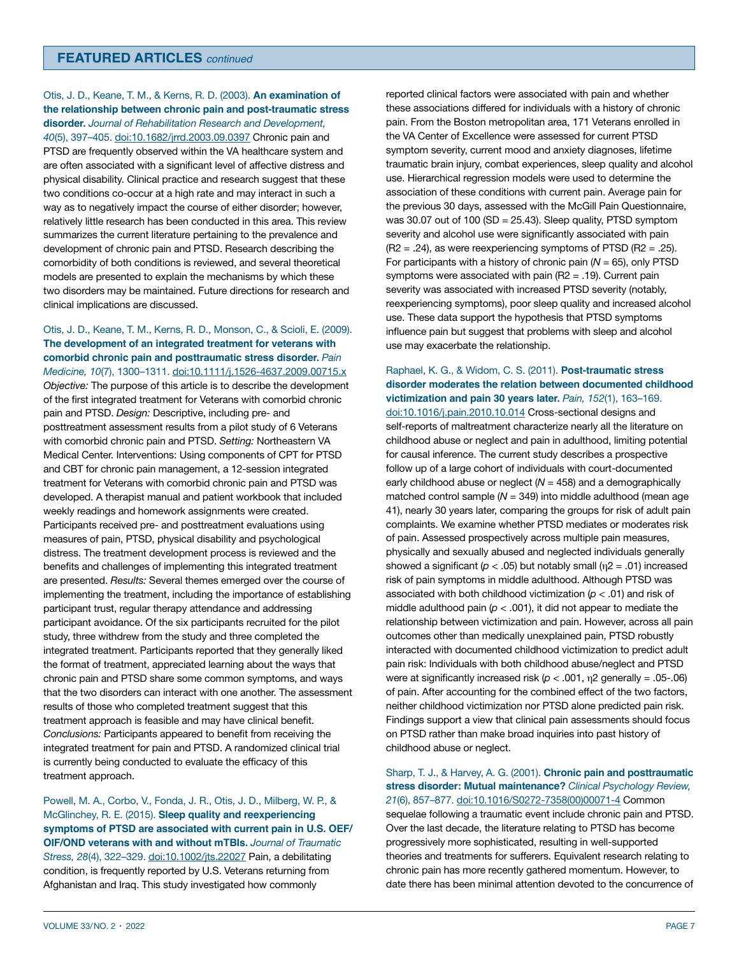# Otis, J. D., Keane, T. M., & Kerns, R. D. (2003). **An examination of the relationship between chronic pain and post-traumatic stress disorder.** *Journal of Rehabilitation Research and Development,*

*40*(5), 397–405. doi:10.1682/jrrd.2003.09.0397 Chronic pain and PTSD are frequently observed within the VA healthcare system and are often associated with a significant level of affective distress and physical disability. Clinical practice and research suggest that these two conditions co-occur at a high rate and may interact in such a way as to negatively impact the course of either disorder; however, relatively little research has been conducted in this area. This review summarizes the current literature pertaining to the prevalence and development of chronic pain and PTSD. Research describing the comorbidity of both conditions is reviewed, and several theoretical models are presented to explain the mechanisms by which these two disorders may be maintained. Future directions for research and clinical implications are discussed.

## Otis, J. D., Keane, T. M., Kerns, R. D., Monson, C., & Scioli, E. (2009). **The development of an integrated treatment for veterans with comorbid chronic pain and posttraumatic stress disorder.** *Pain Medicine, 10*(7), 1300–1311. doi:10.1111/j.1526-4637.2009.00715.x *Objective:* The purpose of this article is to describe the development of the first integrated treatment for Veterans with comorbid chronic pain and PTSD. *Design:* Descriptive, including pre- and posttreatment assessment results from a pilot study of 6 Veterans with comorbid chronic pain and PTSD. *Setting:* Northeastern VA Medical Center. Interventions: Using components of CPT for PTSD and CBT for chronic pain management, a 12-session integrated treatment for Veterans with comorbid chronic pain and PTSD was developed. A therapist manual and patient workbook that included weekly readings and homework assignments were created. Participants received pre- and posttreatment evaluations using measures of pain, PTSD, physical disability and psychological distress. The treatment development process is reviewed and the benefits and challenges of implementing this integrated treatment are presented. *Results:* Several themes emerged over the course of implementing the treatment, including the importance of establishing participant trust, regular therapy attendance and addressing participant avoidance. Of the six participants recruited for the pilot study, three withdrew from the study and three completed the integrated treatment. Participants reported that they generally liked the format of treatment, appreciated learning about the ways that chronic pain and PTSD share some common symptoms, and ways that the two disorders can interact with one another. The assessment results of those who completed treatment suggest that this treatment approach is feasible and may have clinical benefit. *Conclusions:* Participants appeared to benefit from receiving the integrated treatment for pain and PTSD. A randomized clinical trial is currently being conducted to evaluate the efficacy of this treatment approach.

Powell, M. A., Corbo, V., Fonda, J. R., Otis, J. D., Milberg, W. P., & McGlinchey, R. E. (2015). **Sleep quality and reexperiencing symptoms of PTSD are associated with current pain in U.S. OEF/ OIF/OND veterans with and without mTBIs.** *Journal of Traumatic Stress, 28*(4), 322–329. doi:10.1002/jts.22027 Pain, a debilitating condition, is frequently reported by U.S. Veterans returning from Afghanistan and Iraq. This study investigated how commonly

reported clinical factors were associated with pain and whether these associations differed for individuals with a history of chronic pain. From the Boston metropolitan area, 171 Veterans enrolled in the VA Center of Excellence were assessed for current PTSD symptom severity, current mood and anxiety diagnoses, lifetime traumatic brain injury, combat experiences, sleep quality and alcohol use. Hierarchical regression models were used to determine the association of these conditions with current pain. Average pain for the previous 30 days, assessed with the McGill Pain Questionnaire, was 30.07 out of 100 (SD = 25.43). Sleep quality, PTSD symptom severity and alcohol use were significantly associated with pain  $(R2 = .24)$ , as were reexperiencing symptoms of PTSD  $(R2 = .25)$ . For participants with a history of chronic pain (*N* = 65), only PTSD symptoms were associated with pain (R2 = .19). Current pain severity was associated with increased PTSD severity (notably, reexperiencing symptoms), poor sleep quality and increased alcohol use. These data support the hypothesis that PTSD symptoms influence pain but suggest that problems with sleep and alcohol use may exacerbate the relationship.

# Raphael, K. G., & Widom, C. S. (2011). **Post-traumatic stress disorder moderates the relation between documented childhood victimization and pain 30 years later.** *Pain, 152*(1), 163–169. doi:10.1016/j.pain.2010.10.014 Cross-sectional designs and self-reports of maltreatment characterize nearly all the literature on childhood abuse or neglect and pain in adulthood, limiting potential for causal inference. The current study describes a prospective follow up of a large cohort of individuals with court-documented early childhood abuse or neglect (*N* = 458) and a demographically

matched control sample (*N* = 349) into middle adulthood (mean age 41), nearly 30 years later, comparing the groups for risk of adult pain complaints. We examine whether PTSD mediates or moderates risk of pain. Assessed prospectively across multiple pain measures, physically and sexually abused and neglected individuals generally showed a significant ( $p < .05$ ) but notably small ( $n/2 = .01$ ) increased risk of pain symptoms in middle adulthood. Although PTSD was associated with both childhood victimization (*p* < .01) and risk of middle adulthood pain  $(p < .001)$ , it did not appear to mediate the relationship between victimization and pain. However, across all pain outcomes other than medically unexplained pain, PTSD robustly interacted with documented childhood victimization to predict adult pain risk: Individuals with both childhood abuse/neglect and PTSD were at significantly increased risk (*p* < .001, η2 generally = .05-.06) of pain. After accounting for the combined effect of the two factors, neither childhood victimization nor PTSD alone predicted pain risk. Findings support a view that clinical pain assessments should focus on PTSD rather than make broad inquiries into past history of childhood abuse or neglect.

Sharp, T. J., & Harvey, A. G. (2001). **Chronic pain and posttraumatic stress disorder: Mutual maintenance?** *Clinical Psychology Review, 21*(6), 857–877. doi:10.1016/S0272-7358(00)00071-4 Common sequelae following a traumatic event include chronic pain and PTSD. Over the last decade, the literature relating to PTSD has become progressively more sophisticated, resulting in well-supported theories and treatments for sufferers. Equivalent research relating to chronic pain has more recently gathered momentum. However, to date there has been minimal attention devoted to the concurrence of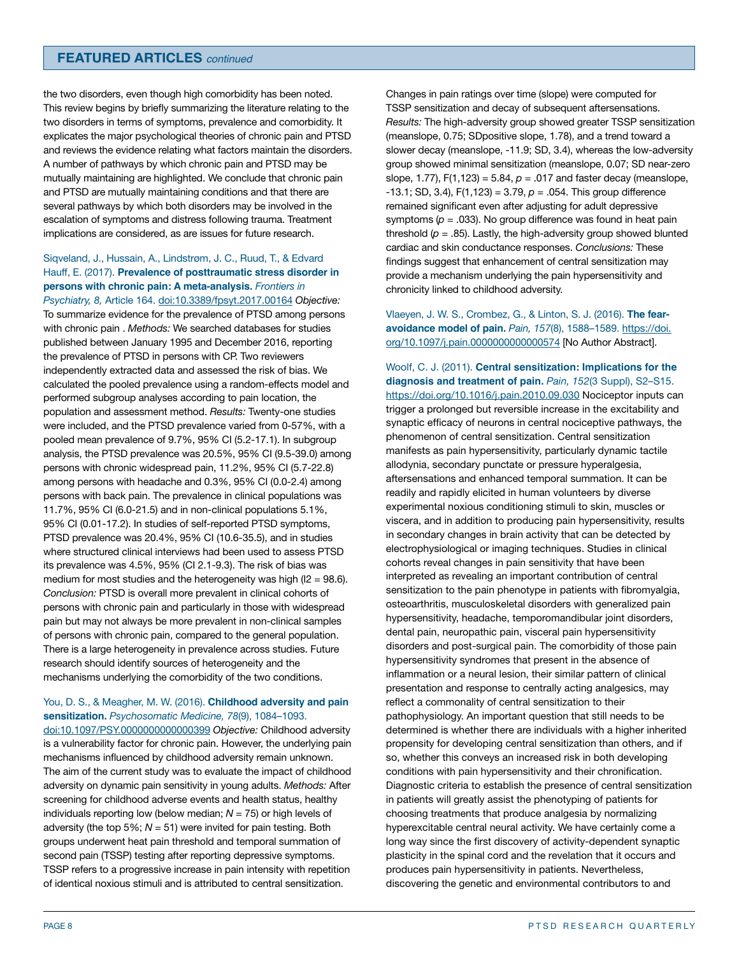## **FEATURED ARTICLES** *continued*

the two disorders, even though high comorbidity has been noted. This review begins by briefly summarizing the literature relating to the two disorders in terms of symptoms, prevalence and comorbidity. It explicates the major psychological theories of chronic pain and PTSD and reviews the evidence relating what factors maintain the disorders. A number of pathways by which chronic pain and PTSD may be mutually maintaining are highlighted. We conclude that chronic pain and PTSD are mutually maintaining conditions and that there are several pathways by which both disorders may be involved in the escalation of symptoms and distress following trauma. Treatment implications are considered, as are issues for future research.

#### Siqveland, J., Hussain, A., Lindstrøm, J. C., Ruud, T., & Edvard Hauff, E. (2017). **Prevalence of posttraumatic stress disorder in persons with chronic pain: A meta-analysis.** *Frontiers in*

*Psychiatry, 8,* Article 164. doi:10.3389/fpsyt.2017.00164 *Objective:*  To summarize evidence for the prevalence of PTSD among persons with chronic pain . *Methods:* We searched databases for studies published between January 1995 and December 2016, reporting the prevalence of PTSD in persons with CP. Two reviewers independently extracted data and assessed the risk of bias. We calculated the pooled prevalence using a random-effects model and performed subgroup analyses according to pain location, the population and assessment method. *Results:* Twenty-one studies were included, and the PTSD prevalence varied from 0-57%, with a pooled mean prevalence of 9.7%, 95% CI (5.2-17.1). In subgroup analysis, the PTSD prevalence was 20.5%, 95% CI (9.5-39.0) among persons with chronic widespread pain, 11.2%, 95% CI (5.7-22.8) among persons with headache and 0.3%, 95% CI (0.0-2.4) among persons with back pain. The prevalence in clinical populations was 11.7%, 95% CI (6.0-21.5) and in non-clinical populations 5.1%, 95% CI (0.01-17.2). In studies of self-reported PTSD symptoms, PTSD prevalence was 20.4%, 95% CI (10.6-35.5), and in studies where structured clinical interviews had been used to assess PTSD its prevalence was 4.5%, 95% (CI 2.1-9.3). The risk of bias was medium for most studies and the heterogeneity was high ( $12 = 98.6$ ). *Conclusion:* PTSD is overall more prevalent in clinical cohorts of persons with chronic pain and particularly in those with widespread pain but may not always be more prevalent in non-clinical samples of persons with chronic pain, compared to the general population. There is a large heterogeneity in prevalence across studies. Future research should identify sources of heterogeneity and the mechanisms underlying the comorbidity of the two conditions.

# You, D. S., & Meagher, M. W. (2016). **Childhood adversity and pain sensitization.** *Psychosomatic Medicine, 78*(9), 1084–1093.

doi:10.1097/PSY.0000000000000399 *Objective:* Childhood adversity is a vulnerability factor for chronic pain. However, the underlying pain mechanisms influenced by childhood adversity remain unknown. The aim of the current study was to evaluate the impact of childhood adversity on dynamic pain sensitivity in young adults. *Methods:* After screening for childhood adverse events and health status, healthy individuals reporting low (below median; *N* = 75) or high levels of adversity (the top 5%; *N* = 51) were invited for pain testing. Both groups underwent heat pain threshold and temporal summation of second pain (TSSP) testing after reporting depressive symptoms. TSSP refers to a progressive increase in pain intensity with repetition of identical noxious stimuli and is attributed to central sensitization.

Changes in pain ratings over time (slope) were computed for TSSP sensitization and decay of subsequent aftersensations. *Results:* The high-adversity group showed greater TSSP sensitization (meanslope, 0.75; SDpositive slope, 1.78), and a trend toward a slower decay (meanslope, -11.9; SD, 3.4), whereas the low-adversity group showed minimal sensitization (meanslope, 0.07; SD near-zero slope, 1.77),  $F(1, 123) = 5.84$ ,  $p = .017$  and faster decay (meanslope, -13.1; SD, 3.4), F(1,123) = 3.79, *p* = .054. This group difference remained significant even after adjusting for adult depressive symptoms  $(p = .033)$ . No group difference was found in heat pain threshold  $(p = .85)$ . Lastly, the high-adversity group showed blunted cardiac and skin conductance responses. *Conclusions:* These findings suggest that enhancement of central sensitization may provide a mechanism underlying the pain hypersensitivity and chronicity linked to childhood adversity.

Vlaeyen, J. W. S., Crombez, G., & Linton, S. J. (2016). **The fearavoidance model of pain.** *Pain, 157*(8), 1588–1589. https://doi. org/10.1097/j.pain.0000000000000574 [No Author Abstract].

Woolf, C. J. (2011). **Central sensitization: Implications for the diagnosis and treatment of pain.** *Pain, 152*(3 Suppl), S2–S15. https://doi.org/10.1016/j.pain.2010.09.030 Nociceptor inputs can trigger a prolonged but reversible increase in the excitability and synaptic efficacy of neurons in central nociceptive pathways, the phenomenon of central sensitization. Central sensitization manifests as pain hypersensitivity, particularly dynamic tactile allodynia, secondary punctate or pressure hyperalgesia, aftersensations and enhanced temporal summation. It can be readily and rapidly elicited in human volunteers by diverse experimental noxious conditioning stimuli to skin, muscles or viscera, and in addition to producing pain hypersensitivity, results in secondary changes in brain activity that can be detected by electrophysiological or imaging techniques. Studies in clinical cohorts reveal changes in pain sensitivity that have been interpreted as revealing an important contribution of central sensitization to the pain phenotype in patients with fibromyalgia, osteoarthritis, musculoskeletal disorders with generalized pain hypersensitivity, headache, temporomandibular joint disorders, dental pain, neuropathic pain, visceral pain hypersensitivity disorders and post-surgical pain. The comorbidity of those pain hypersensitivity syndromes that present in the absence of inflammation or a neural lesion, their similar pattern of clinical presentation and response to centrally acting analgesics, may reflect a commonality of central sensitization to their pathophysiology. An important question that still needs to be determined is whether there are individuals with a higher inherited propensity for developing central sensitization than others, and if so, whether this conveys an increased risk in both developing conditions with pain hypersensitivity and their chronification. Diagnostic criteria to establish the presence of central sensitization in patients will greatly assist the phenotyping of patients for choosing treatments that produce analgesia by normalizing hyperexcitable central neural activity. We have certainly come a long way since the first discovery of activity-dependent synaptic plasticity in the spinal cord and the revelation that it occurs and produces pain hypersensitivity in patients. Nevertheless, discovering the genetic and environmental contributors to and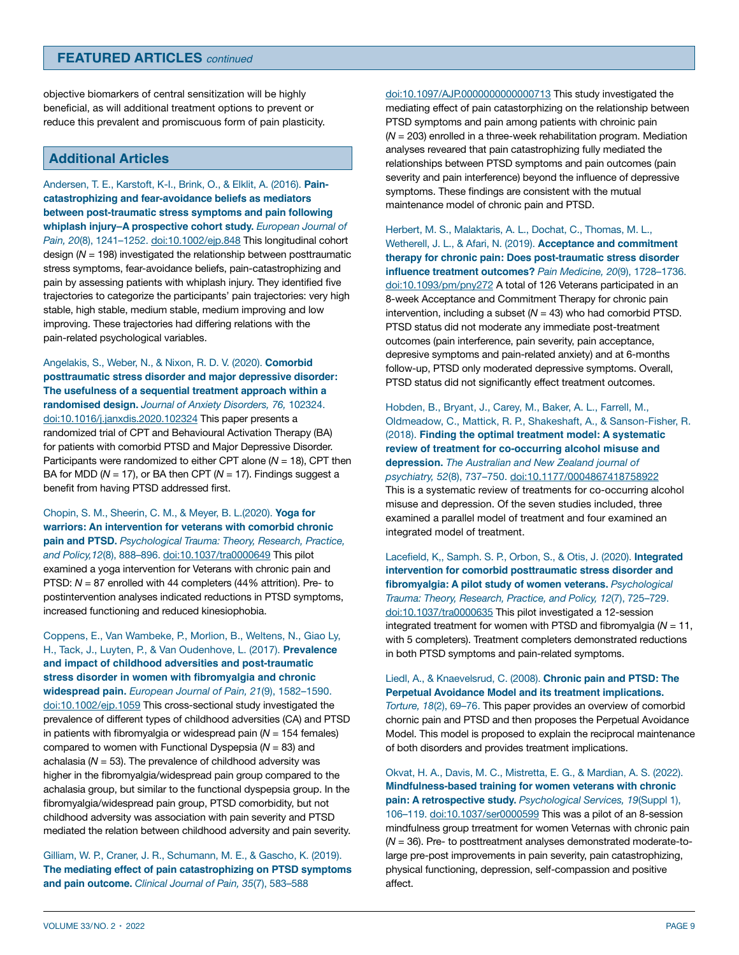## **FEATURED ARTICLES** *continued*

objective biomarkers of central sensitization will be highly beneficial, as will additional treatment options to prevent or reduce this prevalent and promiscuous form of pain plasticity.

# **Additional Articles**

Andersen, T. E., Karstoft, K-I., Brink, O., & Elklit, A. (2016). **Paincatastrophizing and fear-avoidance beliefs as mediators between post-traumatic stress symptoms and pain following**  whiplash injury-A prospective cohort study. *European Journal of Pain, 20*(8), 1241–1252. doi:10.1002/ejp.848 This longitudinal cohort design (*N* = 198) investigated the relationship between posttraumatic stress symptoms, fear-avoidance beliefs, pain-catastrophizing and pain by assessing patients with whiplash injury. They identified five trajectories to categorize the participants' pain trajectories: very high stable, high stable, medium stable, medium improving and low improving. These trajectories had differing relations with the pain-related psychological variables.

Angelakis, S., Weber, N., & Nixon, R. D. V. (2020). **Comorbid posttraumatic stress disorder and major depressive disorder: The usefulness of a sequential treatment approach within a randomised design.** *Journal of Anxiety Disorders, 76,* 102324. doi:10.1016/j.janxdis.2020.102324 This paper presents a randomized trial of CPT and Behavioural Activation Therapy (BA) for patients with comorbid PTSD and Major Depressive Disorder. Participants were randomized to either CPT alone ( $N = 18$ ), CPT then BA for MDD (*N* = 17), or BA then CPT (*N* = 17). Findings suggest a benefit from having PTSD addressed first.

Chopin, S. M., Sheerin, C. M., & Meyer, B. L.(2020). **Yoga for warriors: An intervention for veterans with comorbid chronic pain and PTSD.** *Psychological Trauma: Theory, Research, Practice, and Policy,12*(8), 888–896. doi:10.1037/tra0000649 This pilot examined a yoga intervention for Veterans with chronic pain and PTSD: *N* = 87 enrolled with 44 completers (44% attrition). Pre- to postintervention analyses indicated reductions in PTSD symptoms, increased functioning and reduced kinesiophobia.

Coppens, E., Van Wambeke, P., Morlion, B., Weltens, N., Giao Ly, H., Tack, J., Luyten, P., & Van Oudenhove, L. (2017). **Prevalence and impact of childhood adversities and post-traumatic stress disorder in women with fibromyalgia and chronic widespread pain.** *European Journal of Pain, 21*(9), 1582–1590. doi:10.1002/ejp.1059 This cross-sectional study investigated the prevalence of different types of childhood adversities (CA) and PTSD in patients with fibromyalgia or widespread pain (*N* = 154 females) compared to women with Functional Dyspepsia (*N* = 83) and achalasia ( $N = 53$ ). The prevalence of childhood adversity was higher in the fibromyalgia/widespread pain group compared to the achalasia group, but similar to the functional dyspepsia group. In the fibromyalgia/widespread pain group, PTSD comorbidity, but not childhood adversity was association with pain severity and PTSD mediated the relation between childhood adversity and pain severity.

Gilliam, W. P., Craner, J. R., Schumann, M. E., & Gascho, K. (2019). **The mediating effect of pain catastrophizing on PTSD symptoms and pain outcome.** *Clinical Journal of Pain, 35*(7), 583–588

doi:10.1097/AJP.0000000000000713 This study investigated the mediating effect of pain catastorphizing on the relationship between PTSD symptoms and pain among patients with chroinic pain (*N* = 203) enrolled in a three-week rehabilitation program. Mediation analyses reveared that pain catastrophizing fully mediated the relationships between PTSD symptoms and pain outcomes (pain severity and pain interference) beyond the influence of depressive symptoms. These findings are consistent with the mutual maintenance model of chronic pain and PTSD.

Herbert, M. S., Malaktaris, A. L., Dochat, C., Thomas, M. L., Wetherell, J. L., & Afari, N. (2019). **Acceptance and commitment therapy for chronic pain: Does post-traumatic stress disorder influence treatment outcomes?** *Pain Medicine, 20*(9), 1728–1736. doi:10.1093/pm/pny272 A total of 126 Veterans participated in an 8-week Acceptance and Commitment Therapy for chronic pain intervention, including a subset (*N* = 43) who had comorbid PTSD. PTSD status did not moderate any immediate post-treatment outcomes (pain interference, pain severity, pain acceptance, depresive symptoms and pain-related anxiety) and at 6-months follow-up, PTSD only moderated depressive symptoms. Overall, PTSD status did not significantly effect treatment outcomes.

Hobden, B., Bryant, J., Carey, M., Baker, A. L., Farrell, M., Oldmeadow, C., Mattick, R. P., Shakeshaft, A., & Sanson-Fisher, R. (2018). **Finding the optimal treatment model: A systematic review of treatment for co-occurring alcohol misuse and depression.** *The Australian and New Zealand journal of psychiatry, 52*(8), 737–750. doi:10.1177/0004867418758922 This is a systematic review of treatments for co-occurring alcohol misuse and depression. Of the seven studies included, three examined a parallel model of treatment and four examined an integrated model of treatment.

Lacefield, K,, Samph. S. P., Orbon, S., & Otis, J. (2020). **Integrated intervention for comorbid posttraumatic stress disorder and fibromyalgia: A pilot study of women veterans.** *Psychological Trauma: Theory, Research, Practice, and Policy, 12*(7), 725–729. doi:10.1037/tra0000635 This pilot investigated a 12-session integrated treatment for women with PTSD and fibromyalgia  $(N = 11)$ , with 5 completers). Treatment completers demonstrated reductions in both PTSD symptoms and pain-related symptoms.

Liedl, A., & Knaevelsrud, C. (2008). **Chronic pain and PTSD: The Perpetual Avoidance Model and its treatment implications.**  *Torture, 18*(2), 69–76. This paper provides an overview of comorbid chornic pain and PTSD and then proposes the Perpetual Avoidance Model. This model is proposed to explain the reciprocal maintenance of both disorders and provides treatment implications.

Okvat, H. A., Davis, M. C., Mistretta, E. G., & Mardian, A. S. (2022). **Mindfulness-based training for women veterans with chronic pain: A retrospective study.** *Psychological Services, 19*(Suppl 1), 106–119. doi:10.1037/ser0000599 This was a pilot of an 8-session mindfulness group trreatment for women Veternas with chronic pain (*N* = 36). Pre- to posttreatment analyses demonstrated moderate-tolarge pre-post improvements in pain severity, pain catastrophizing, physical functioning, depression, self-compassion and positive affect.